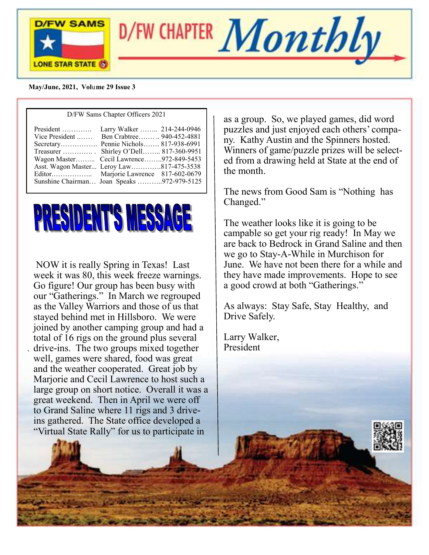



#### **May/June, 2021, Vol**u**me 29 Issue 3**

| D/FW Sams Chapter Officers 2021                                                                                                                                                                                                                                                                            |  |  |
|------------------------------------------------------------------------------------------------------------------------------------------------------------------------------------------------------------------------------------------------------------------------------------------------------------|--|--|
| President  Larry Walker  214-244-0946<br>Vice President  Ben Crabtree 940-452-4881<br>Secretary Pennie Nichols 817-938-6991<br>Treasurer  Shirley O'Dell 817-360-9951<br>Wagon Master Cecil Lawrence972-849-5453<br>Asst. Wagon Master Leroy Law817-475-3538<br>Sunshine Chairman Joan Speaks 972-979-5125 |  |  |
|                                                                                                                                                                                                                                                                                                            |  |  |



NOW it is really Spring in Texas! Last week it was 80, this week freeze warnings. Go figure! Our group has been busy with our "Gatherings." In March we regrouped as the Valley Warriors and those of us that stayed behind met in Hillsboro. We were joined by another camping group and had a total of 16 rigs on the ground plus several drive-ins. The two groups mixed together well, games were shared, food was great and the weather cooperated. Great job by Marjorie and Cecil Lawrence to host such a large group on short notice. Overall it was a great weekend. Then in April we were off to Grand Saline where 11 rigs and 3 driveins gathered. The State office developed a "Virtual State Rally" for us to participate in

`

as a group. So, we played games, did word puzzles and just enjoyed each others' company. Kathy Austin and the Spinners hosted. Winners of game/puzzle prizes will be selected from a drawing held at State at the end of the month.

The news from Good Sam is "Nothing has Changed."

The weather looks like it is going to be campable so get your rig ready! In May we are back to Bedrock in Grand Saline and then we go to Stay-A-While in Murchison for June. We have not been there for a while and they have made improvements. Hope to see a good crowd at both "Gatherings."

As always: Stay Safe, Stay Healthy, and Drive Safely.

Larry Walker, President

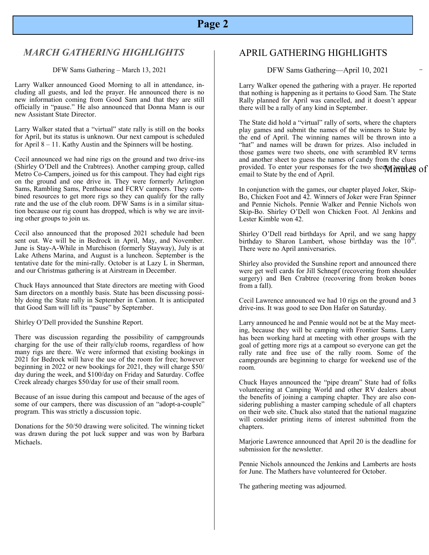# **Page 2**

### *MARCH GATHERING HIGHLIGHTS*

#### DFW Sams Gathering – March 13, 2021

Larry Walker announced Good Morning to all in attendance, including all guests, and led the prayer. He announced there is no new information coming from Good Sam and that they are still officially in "pause." He also announced that Donna Mann is our new Assistant State Director.

Larry Walker stated that a "virtual" state rally is still on the books for April, but its status is unknown. Our next campout is scheduled for April  $8 - 11$ . Kathy Austin and the Spinners will be hosting.

Cecil announced we had nine rigs on the ground and two drive-ins (Shirley O'Dell and the Crabtrees). Another camping group, called Metro Co-Campers, joined us for this campout. They had eight rigs on the ground and one drive in. They were formerly Arlington Sams, Rambling Sams, Penthouse and FCRV campers. They combined resources to get more rigs so they can qualify for the rally rate and the use of the club room. DFW Sams is in a similar situation because our rig count has dropped, which is why we are inviting other groups to join us.

Cecil also announced that the proposed 2021 schedule had been sent out. We will be in Bedrock in April, May, and November. June is Stay-A-While in Murchison (formerly Stayway), July is at Lake Athens Marina, and August is a luncheon. September is the tentative date for the mini-rally. October is at Lazy L in Sherman, and our Christmas gathering is at Airstream in December.

Chuck Hays announced that State directors are meeting with Good Sam directors on a monthly basis. State has been discussing possibly doing the State rally in September in Canton. It is anticipated that Good Sam will lift its "pause" by September.

Shirley O'Dell provided the Sunshine Report.

There was discussion regarding the possibility of campgrounds charging for the use of their rally/club rooms, regardless of how many rigs are there. We were informed that existing bookings in 2021 for Bedrock will have the use of the room for free; however beginning in 2022 or new bookings for 2021, they will charge \$50/ day during the week, and \$100/day on Friday and Saturday. Coffee Creek already charges \$50/day for use of their small room.

Because of an issue during this campout and because of the ages of some of our campers, there was discussion of an "adopt-a-couple" program. This was strictly a discussion topic.

Donations for the 50/50 drawing were solicited. The winning ticket was drawn during the pot luck supper and was won by Barbara Michaels.

## APRIL GATHERING HIGHLIGHTS

DFW Sams Gathering—April 10, 2021

Larry Walker opened the gathering with a prayer. He reported that nothing is happening as it pertains to Good Sam. The State Rally planned for April was cancelled, and it doesn't appear there will be a rally of any kind in September.

provided. To enter your responses for the two sheets **in the example of** The State did hold a "virtual" rally of sorts, where the chapters play games and submit the names of the winners to State by the end of April. The winning names will be thrown into a "hat" and names will be drawn for prizes. Also included in those games were two sheets, one with scrambled RV terms and another sheet to guess the names of candy from the clues email to State by the end of April.

In conjunction with the games, our chapter played Joker, Skip-Bo, Chicken Foot and 42. Winners of Joker were Fran Spinner and Pennie Nichols. Pennie Walker and Pennie Nichols won Skip-Bo. Shirley O'Dell won Chicken Foot. Al Jenkins and Lester Kimble won 42.

 Shirley O'Dell read birthdays for April, and we sang happy birthday to Sharon Lambert, whose birthday was the  $10^{th}$ . There were no April anniversaries.

Shirley also provided the Sunshine report and announced there were get well cards for Jill Schnepf (recovering from shoulder surgery) and Ben Crabtree (recovering from broken bones from a fall).

Cecil Lawrence announced we had 10 rigs on the ground and 3 drive-ins. It was good to see Don Hafer on Saturday.

Larry announced he and Pennie would not be at the May meeting, because they will be camping with Frontier Sams. Larry has been working hard at meeting with other groups with the goal of getting more rigs at a campout so everyone can get the rally rate and free use of the rally room. Some of the campgrounds are beginning to charge for weekend use of the room.

Chuck Hayes announced the "pipe dream" State had of folks volunteering at Camping World and other RV dealers about the benefits of joining a camping chapter. They are also considering publishing a master camping schedule of all chapters on their web site. Chuck also stated that the national magazine will consider printing items of interest submitted from the chapters.

Marjorie Lawrence announced that April 20 is the deadline for submission for the newsletter.

Pennie Nichols announced the Jenkins and Lamberts are hosts for June. The Mathers have volunteered for October.

The gathering meeting was adjourned.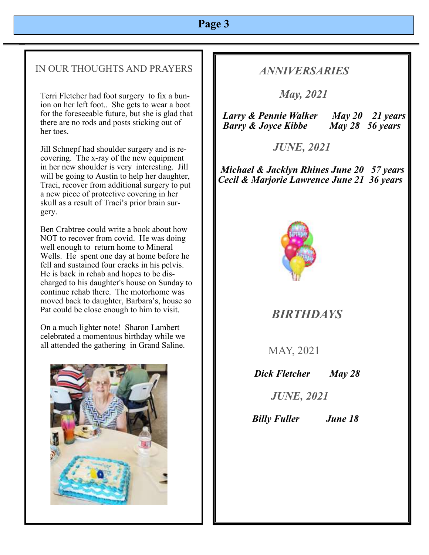# **Page 3**

## IN OUR THOUGHTS AND PRAYERS

Terri Fletcher had foot surgery to fix a bunion on her left foot.. She gets to wear a boot for the foreseeable future, but she is glad that there are no rods and posts sticking out of her toes.

Jill Schnepf had shoulder surgery and is recovering. The x-ray of the new equipment in her new shoulder is very interesting. Jill will be going to Austin to help her daughter, Traci, recover from additional surgery to put a new piece of protective covering in her skull as a result of Traci's prior brain surgery.

Ben Crabtree could write a book about how NOT to recover from covid. He was doing well enough to return home to Mineral Wells. He spent one day at home before he fell and sustained four cracks in his pelvis. He is back in rehab and hopes to be discharged to his daughter's house on Sunday to continue rehab there. The motorhome was moved back to daughter, Barbara's, house so Pat could be close enough to him to visit.

On a much lighter note! Sharon Lambert celebrated a momentous birthday while we all attended the gathering in Grand Saline.



## *ANNIVERSARIES*

 *May, 2021* 

 *Larry & Pennie Walker May 20 21 years Barry & Joyce Kibbe May 28 56 years*

 *JUNE, 2021*

*Michael & Jacklyn Rhines June 20 57 years Cecil & Marjorie Lawrence June 21 36 years*



 *BIRTHDAYS* 

MAY, 2021

*Dick Fletcher May 28*

 *JUNE, 2021*

 *Billy Fuller June 18*